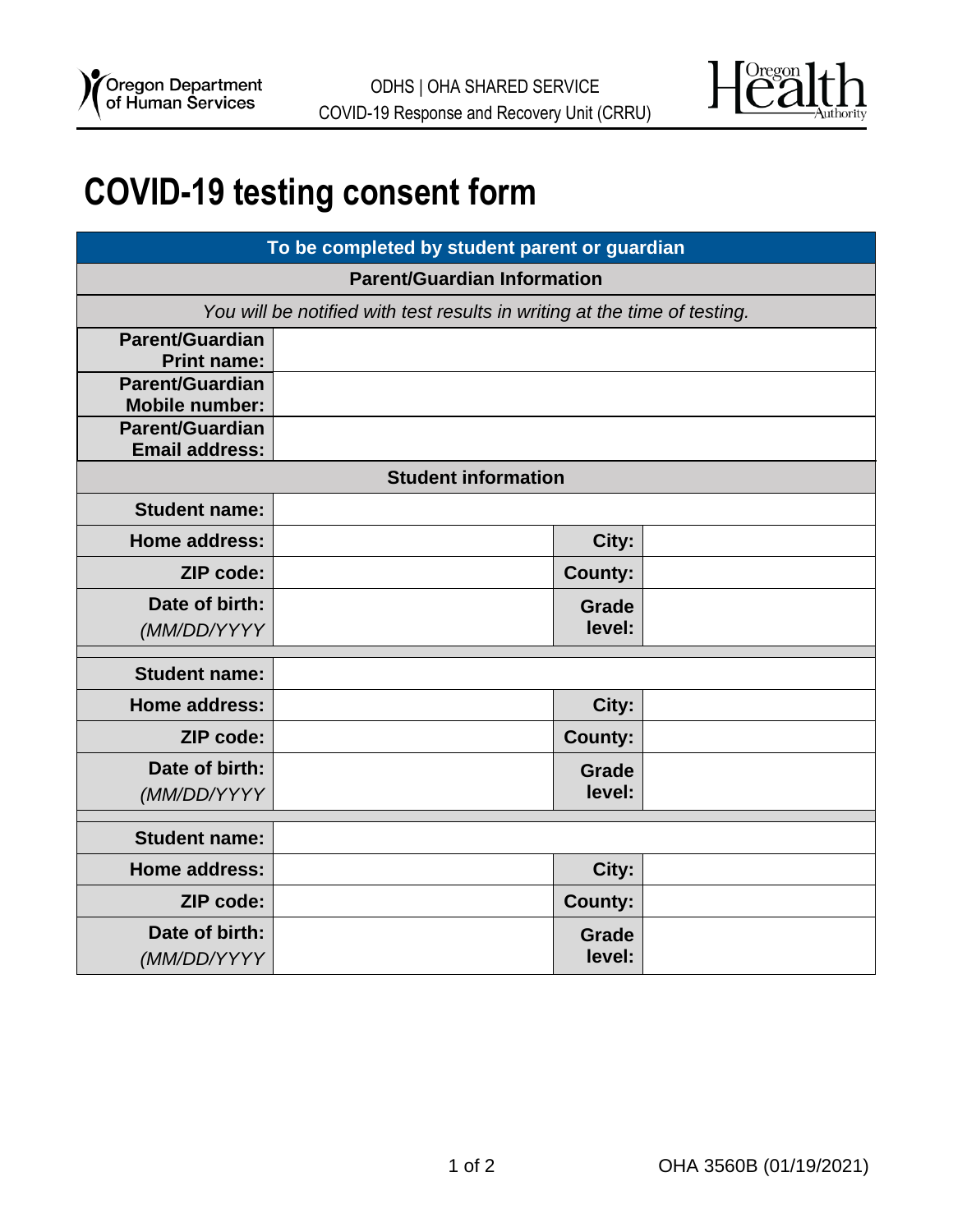

## **COVID-19 testing consent form**

| To be completed by student parent or guardian                             |  |                |  |
|---------------------------------------------------------------------------|--|----------------|--|
| <b>Parent/Guardian Information</b>                                        |  |                |  |
| You will be notified with test results in writing at the time of testing. |  |                |  |
| Parent/Guardian                                                           |  |                |  |
| <b>Print name:</b>                                                        |  |                |  |
| <b>Parent/Guardian</b>                                                    |  |                |  |
| <b>Mobile number:</b><br><b>Parent/Guardian</b>                           |  |                |  |
| <b>Email address:</b>                                                     |  |                |  |
| <b>Student information</b>                                                |  |                |  |
| <b>Student name:</b>                                                      |  |                |  |
| <b>Home address:</b>                                                      |  | City:          |  |
| ZIP code:                                                                 |  | <b>County:</b> |  |
| Date of birth:                                                            |  | <b>Grade</b>   |  |
| (MM/DD/YYYY                                                               |  | level:         |  |
| <b>Student name:</b>                                                      |  |                |  |
|                                                                           |  |                |  |
| <b>Home address:</b>                                                      |  | City:          |  |
| <b>ZIP code:</b>                                                          |  | <b>County:</b> |  |
| Date of birth:                                                            |  | <b>Grade</b>   |  |
| (MM/DD/YYYY                                                               |  | level:         |  |
| <b>Student name:</b>                                                      |  |                |  |
| Home address:                                                             |  | City:          |  |
|                                                                           |  |                |  |
| <b>ZIP code:</b>                                                          |  | <b>County:</b> |  |
| Date of birth:                                                            |  | <b>Grade</b>   |  |
| (MM/DD/YYYY                                                               |  | level:         |  |